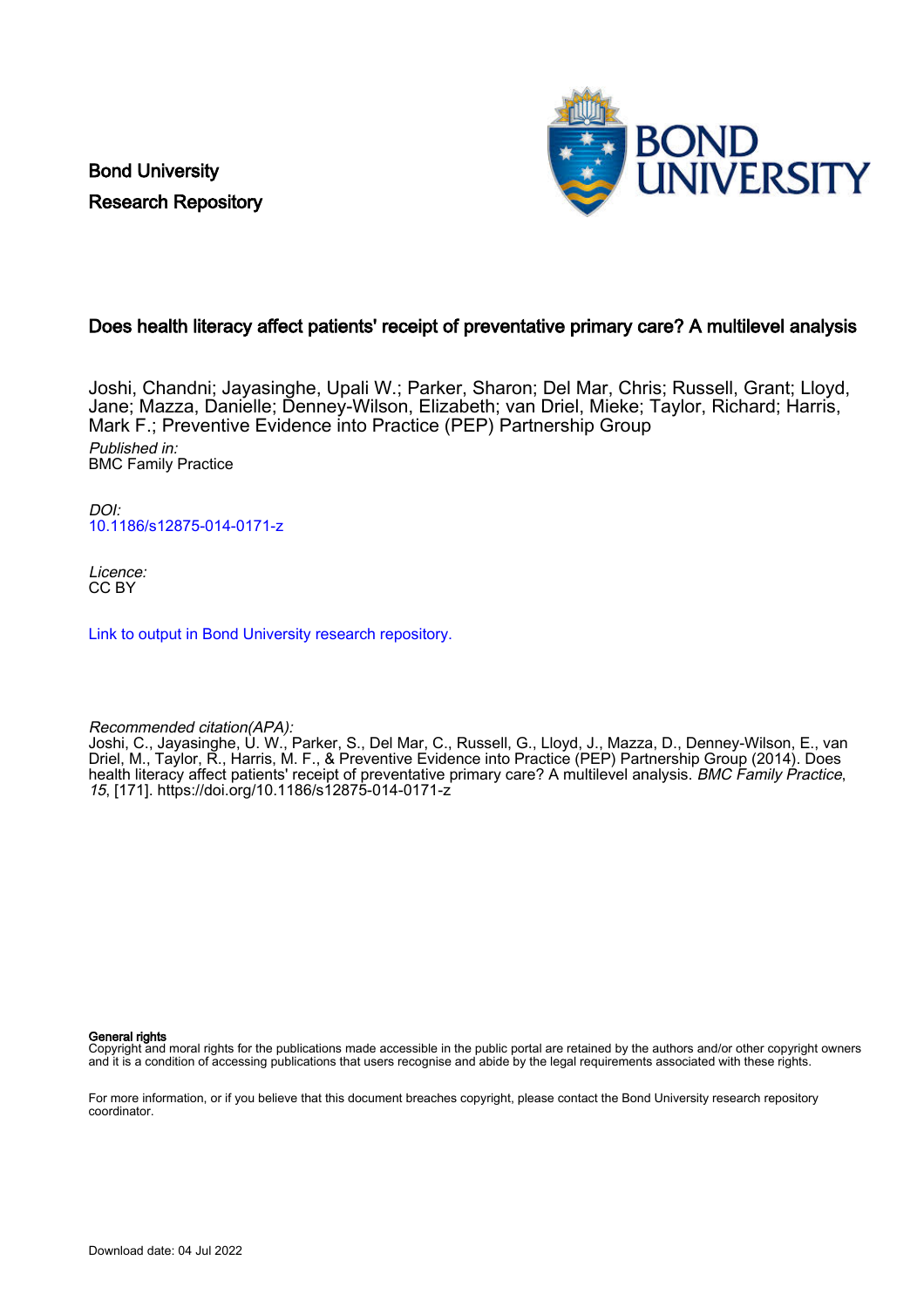Bond University Research Repository



## Does health literacy affect patients' receipt of preventative primary care? A multilevel analysis

Joshi, Chandni; Jayasinghe, Upali W.; Parker, Sharon; Del Mar, Chris; Russell, Grant; Lloyd, Jane; Mazza, Danielle; Denney-Wilson, Elizabeth; van Driel, Mieke; Taylor, Richard; Harris, Mark F.; Preventive Evidence into Practice (PEP) Partnership Group Published in: BMC Family Practice

DOI: [10.1186/s12875-014-0171-z](https://doi.org/10.1186/s12875-014-0171-z)

Licence: CC BY

[Link to output in Bond University research repository.](https://research.bond.edu.au/en/publications/15c99540-d2bf-4241-8887-c64c931c0048)

Recommended citation(APA):

Joshi, C., Jayasinghe, U. W., Parker, S., Del Mar, C., Russell, G., Lloyd, J., Mazza, D., Denney-Wilson, E., van Driel, M., Taylor, R., Harris, M. F., & Preventive Evidence into Practice (PEP) Partnership Group (2014). Does health literacy affect patients' receipt of preventative primary care? A multilevel analysis. *BMC Family Practice*, 15, [171].<https://doi.org/10.1186/s12875-014-0171-z>

General rights

Copyright and moral rights for the publications made accessible in the public portal are retained by the authors and/or other copyright owners and it is a condition of accessing publications that users recognise and abide by the legal requirements associated with these rights.

For more information, or if you believe that this document breaches copyright, please contact the Bond University research repository coordinator.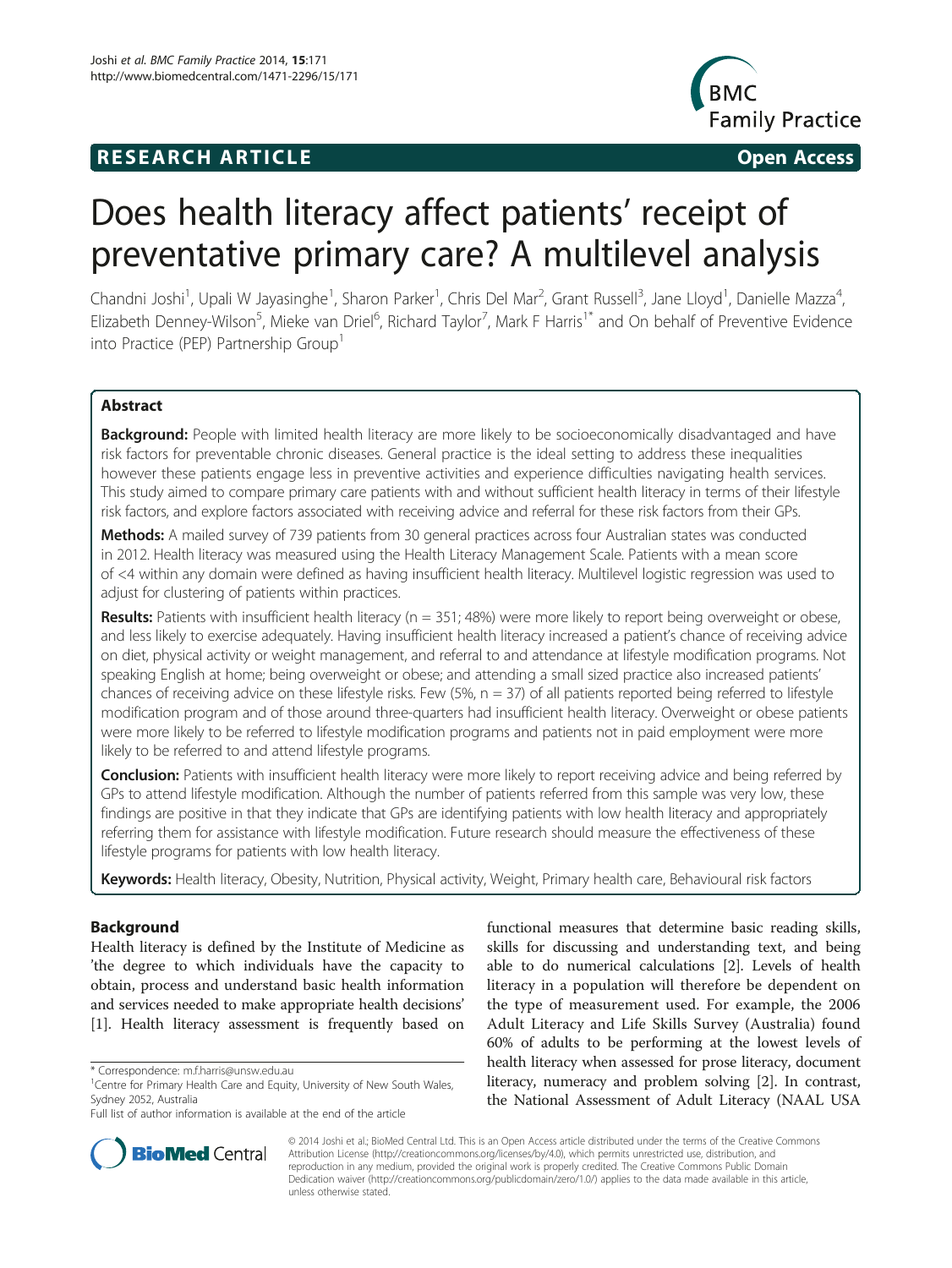## **RESEARCH ARTICLE Example 2018 12:00 Open Access**



# Does health literacy affect patients' receipt of preventative primary care? A multilevel analysis

Chandni Joshi<sup>1</sup>, Upali W Jayasinghe<sup>1</sup>, Sharon Parker<sup>1</sup>, Chris Del Mar<sup>2</sup>, Grant Russell<sup>3</sup>, Jane Lloyd<sup>1</sup>, Danielle Mazza<sup>4</sup> , Elizabeth Denney-Wilson<sup>5</sup>, Mieke van Driel<sup>6</sup>, Richard Taylor<sup>7</sup>, Mark F Harris<sup>1\*</sup> and On behalf of Preventive Evidence into Practice (PEP) Partnership  $Group<sup>1</sup>$ 

## Abstract

Background: People with limited health literacy are more likely to be socioeconomically disadvantaged and have risk factors for preventable chronic diseases. General practice is the ideal setting to address these inequalities however these patients engage less in preventive activities and experience difficulties navigating health services. This study aimed to compare primary care patients with and without sufficient health literacy in terms of their lifestyle risk factors, and explore factors associated with receiving advice and referral for these risk factors from their GPs.

Methods: A mailed survey of 739 patients from 30 general practices across four Australian states was conducted in 2012. Health literacy was measured using the Health Literacy Management Scale. Patients with a mean score of <4 within any domain were defined as having insufficient health literacy. Multilevel logistic regression was used to adjust for clustering of patients within practices.

Results: Patients with insufficient health literacy ( $n = 351$ ; 48%) were more likely to report being overweight or obese, and less likely to exercise adequately. Having insufficient health literacy increased a patient's chance of receiving advice on diet, physical activity or weight management, and referral to and attendance at lifestyle modification programs. Not speaking English at home; being overweight or obese; and attending a small sized practice also increased patients' chances of receiving advice on these lifestyle risks. Few (5%,  $n = 37$ ) of all patients reported being referred to lifestyle modification program and of those around three-quarters had insufficient health literacy. Overweight or obese patients were more likely to be referred to lifestyle modification programs and patients not in paid employment were more likely to be referred to and attend lifestyle programs.

**Conclusion:** Patients with insufficient health literacy were more likely to report receiving advice and being referred by GPs to attend lifestyle modification. Although the number of patients referred from this sample was very low, these findings are positive in that they indicate that GPs are identifying patients with low health literacy and appropriately referring them for assistance with lifestyle modification. Future research should measure the effectiveness of these lifestyle programs for patients with low health literacy.

Keywords: Health literacy, Obesity, Nutrition, Physical activity, Weight, Primary health care, Behavioural risk factors

## Background

Health literacy is defined by the Institute of Medicine as 'the degree to which individuals have the capacity to obtain, process and understand basic health information and services needed to make appropriate health decisions' [[1\]](#page-9-0). Health literacy assessment is frequently based on

functional measures that determine basic reading skills, skills for discussing and understanding text, and being able to do numerical calculations [\[2](#page-9-0)]. Levels of health literacy in a population will therefore be dependent on the type of measurement used. For example, the 2006 Adult Literacy and Life Skills Survey (Australia) found 60% of adults to be performing at the lowest levels of health literacy when assessed for prose literacy, document literacy, numeracy and problem solving [[2](#page-9-0)]. In contrast, the National Assessment of Adult Literacy (NAAL USA



© 2014 Joshi et al.; BioMed Central Ltd. This is an Open Access article distributed under the terms of the Creative Commons Attribution License (<http://creationcommons.org/licenses/by/4.0>), which permits unrestricted use, distribution, and reproduction in any medium, provided the original work is properly credited. The Creative Commons Public Domain Dedication waiver [\(http://creationcommons.org/publicdomain/zero/1.0/](http://creationcommons.org/publicdomain/zero/1.0/)) applies to the data made available in this article, unless otherwise stated.

<sup>\*</sup> Correspondence: [m.f.harris@unsw.edu.au](mailto:m.f.harris@unsw.edu.au) <sup>1</sup>

<sup>&</sup>lt;sup>1</sup> Centre for Primary Health Care and Equity, University of New South Wales, Sydney 2052, Australia

Full list of author information is available at the end of the article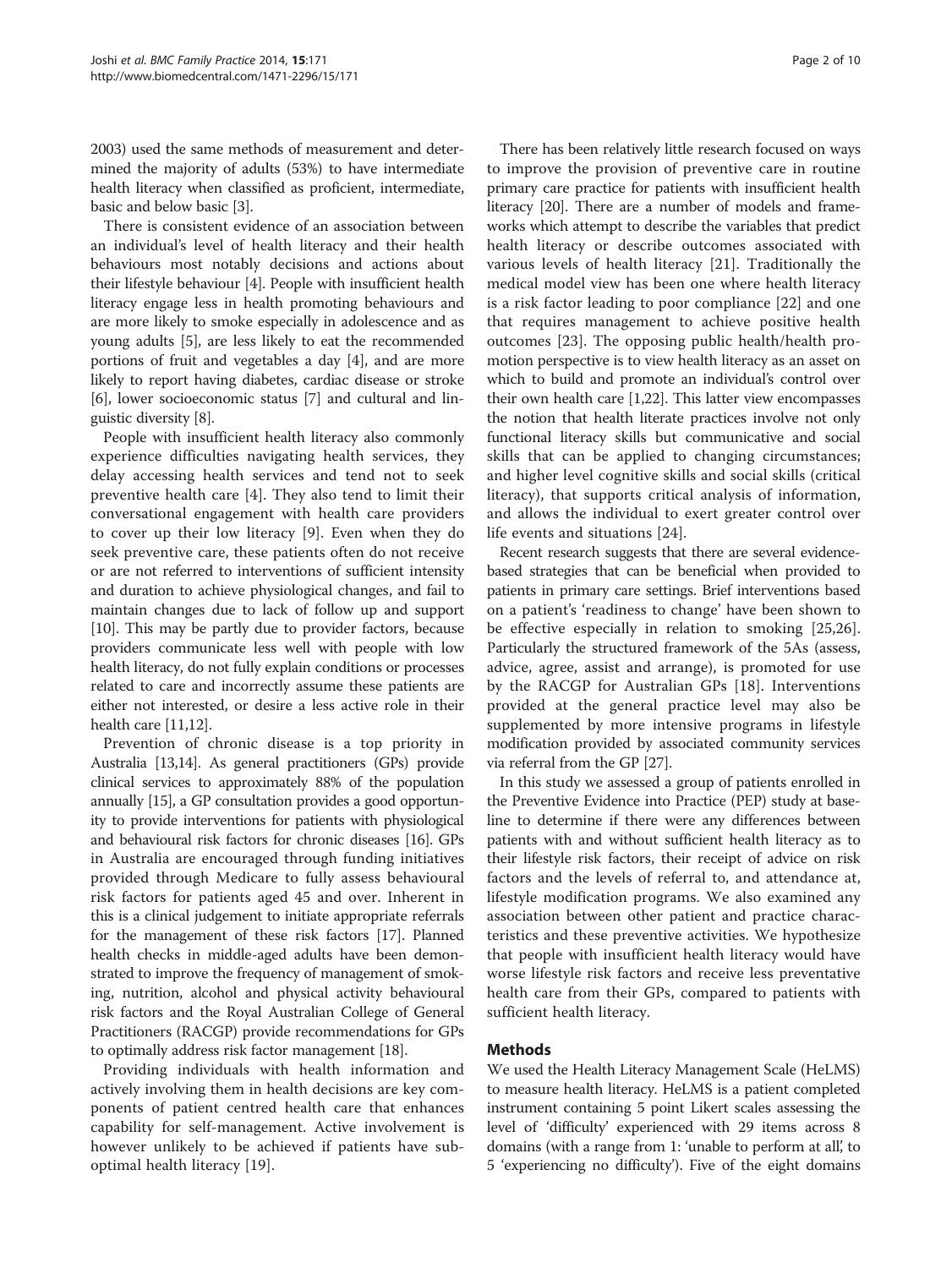2003) used the same methods of measurement and determined the majority of adults (53%) to have intermediate health literacy when classified as proficient, intermediate, basic and below basic [\[3](#page-9-0)].

There is consistent evidence of an association between an individual's level of health literacy and their health behaviours most notably decisions and actions about their lifestyle behaviour [\[4](#page-9-0)]. People with insufficient health literacy engage less in health promoting behaviours and are more likely to smoke especially in adolescence and as young adults [\[5\]](#page-9-0), are less likely to eat the recommended portions of fruit and vegetables a day [\[4](#page-9-0)], and are more likely to report having diabetes, cardiac disease or stroke [[6\]](#page-9-0), lower socioeconomic status [\[7\]](#page-9-0) and cultural and linguistic diversity [\[8](#page-9-0)].

People with insufficient health literacy also commonly experience difficulties navigating health services, they delay accessing health services and tend not to seek preventive health care [\[4](#page-9-0)]. They also tend to limit their conversational engagement with health care providers to cover up their low literacy [\[9](#page-9-0)]. Even when they do seek preventive care, these patients often do not receive or are not referred to interventions of sufficient intensity and duration to achieve physiological changes, and fail to maintain changes due to lack of follow up and support [[10](#page-9-0)]. This may be partly due to provider factors, because providers communicate less well with people with low health literacy, do not fully explain conditions or processes related to care and incorrectly assume these patients are either not interested, or desire a less active role in their health care [\[11,12\]](#page-9-0).

Prevention of chronic disease is a top priority in Australia [\[13,14\]](#page-9-0). As general practitioners (GPs) provide clinical services to approximately 88% of the population annually [\[15\]](#page-9-0), a GP consultation provides a good opportunity to provide interventions for patients with physiological and behavioural risk factors for chronic diseases [\[16\]](#page-9-0). GPs in Australia are encouraged through funding initiatives provided through Medicare to fully assess behavioural risk factors for patients aged 45 and over. Inherent in this is a clinical judgement to initiate appropriate referrals for the management of these risk factors [[17](#page-9-0)]. Planned health checks in middle-aged adults have been demonstrated to improve the frequency of management of smoking, nutrition, alcohol and physical activity behavioural risk factors and the Royal Australian College of General Practitioners (RACGP) provide recommendations for GPs to optimally address risk factor management [\[18\]](#page-9-0).

Providing individuals with health information and actively involving them in health decisions are key components of patient centred health care that enhances capability for self-management. Active involvement is however unlikely to be achieved if patients have suboptimal health literacy [[19\]](#page-9-0).

There has been relatively little research focused on ways to improve the provision of preventive care in routine primary care practice for patients with insufficient health literacy [[20](#page-9-0)]. There are a number of models and frameworks which attempt to describe the variables that predict health literacy or describe outcomes associated with various levels of health literacy [\[21](#page-9-0)]. Traditionally the medical model view has been one where health literacy is a risk factor leading to poor compliance [[22\]](#page-9-0) and one that requires management to achieve positive health outcomes [[23\]](#page-9-0). The opposing public health/health promotion perspective is to view health literacy as an asset on which to build and promote an individual's control over their own health care [\[1,22\]](#page-9-0). This latter view encompasses the notion that health literate practices involve not only functional literacy skills but communicative and social skills that can be applied to changing circumstances; and higher level cognitive skills and social skills (critical literacy), that supports critical analysis of information, and allows the individual to exert greater control over life events and situations [\[24](#page-9-0)].

Recent research suggests that there are several evidencebased strategies that can be beneficial when provided to patients in primary care settings. Brief interventions based on a patient's 'readiness to change' have been shown to be effective especially in relation to smoking [[25,26](#page-9-0)]. Particularly the structured framework of the 5As (assess, advice, agree, assist and arrange), is promoted for use by the RACGP for Australian GPs [[18\]](#page-9-0). Interventions provided at the general practice level may also be supplemented by more intensive programs in lifestyle modification provided by associated community services via referral from the GP [[27\]](#page-9-0).

In this study we assessed a group of patients enrolled in the Preventive Evidence into Practice (PEP) study at baseline to determine if there were any differences between patients with and without sufficient health literacy as to their lifestyle risk factors, their receipt of advice on risk factors and the levels of referral to, and attendance at, lifestyle modification programs. We also examined any association between other patient and practice characteristics and these preventive activities. We hypothesize that people with insufficient health literacy would have worse lifestyle risk factors and receive less preventative health care from their GPs, compared to patients with sufficient health literacy.

## Methods

We used the Health Literacy Management Scale (HeLMS) to measure health literacy. HeLMS is a patient completed instrument containing 5 point Likert scales assessing the level of 'difficulty' experienced with 29 items across 8 domains (with a range from 1: 'unable to perform at all', to 5 'experiencing no difficulty'). Five of the eight domains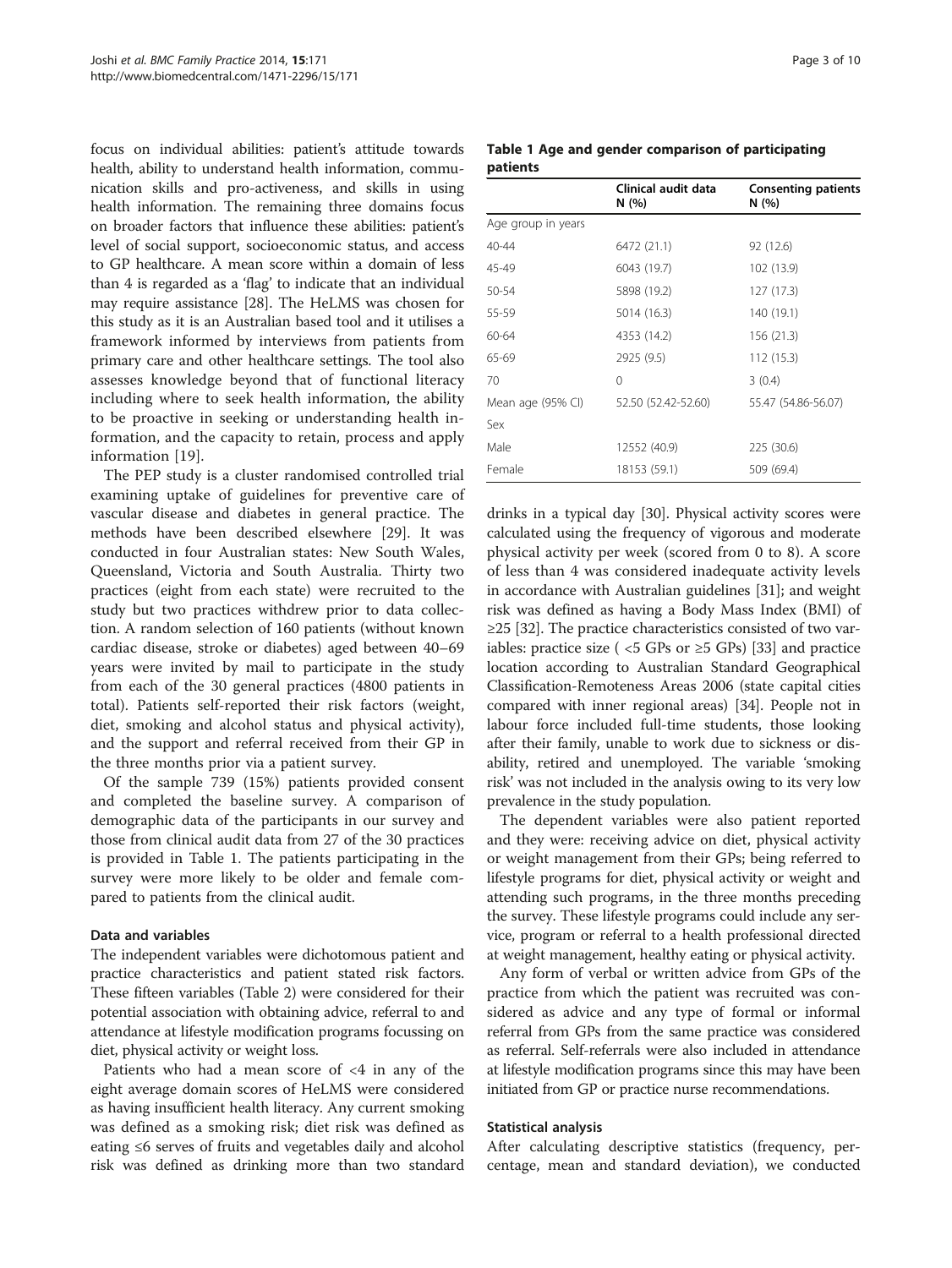focus on individual abilities: patient's attitude towards health, ability to understand health information, communication skills and pro-activeness, and skills in using health information. The remaining three domains focus on broader factors that influence these abilities: patient's level of social support, socioeconomic status, and access to GP healthcare. A mean score within a domain of less than 4 is regarded as a 'flag' to indicate that an individual may require assistance [[28](#page-9-0)]. The HeLMS was chosen for this study as it is an Australian based tool and it utilises a framework informed by interviews from patients from primary care and other healthcare settings. The tool also assesses knowledge beyond that of functional literacy including where to seek health information, the ability to be proactive in seeking or understanding health information, and the capacity to retain, process and apply information [\[19](#page-9-0)].

The PEP study is a cluster randomised controlled trial examining uptake of guidelines for preventive care of vascular disease and diabetes in general practice. The methods have been described elsewhere [[29\]](#page-9-0). It was conducted in four Australian states: New South Wales, Queensland, Victoria and South Australia. Thirty two practices (eight from each state) were recruited to the study but two practices withdrew prior to data collection. A random selection of 160 patients (without known cardiac disease, stroke or diabetes) aged between 40–69 years were invited by mail to participate in the study from each of the 30 general practices (4800 patients in total). Patients self-reported their risk factors (weight, diet, smoking and alcohol status and physical activity), and the support and referral received from their GP in the three months prior via a patient survey.

Of the sample 739 (15%) patients provided consent and completed the baseline survey. A comparison of demographic data of the participants in our survey and those from clinical audit data from 27 of the 30 practices is provided in Table 1. The patients participating in the survey were more likely to be older and female compared to patients from the clinical audit.

## Data and variables

The independent variables were dichotomous patient and practice characteristics and patient stated risk factors. These fifteen variables (Table [2](#page-4-0)) were considered for their potential association with obtaining advice, referral to and attendance at lifestyle modification programs focussing on diet, physical activity or weight loss.

Patients who had a mean score of  $<4$  in any of the eight average domain scores of HeLMS were considered as having insufficient health literacy. Any current smoking was defined as a smoking risk; diet risk was defined as eating ≤6 serves of fruits and vegetables daily and alcohol risk was defined as drinking more than two standard

| Page 3 of 10 |  |  |
|--------------|--|--|
|              |  |  |

| Table 1 Age and gender comparison of participating |  |
|----------------------------------------------------|--|
| patients                                           |  |

|                    | Clinical audit data<br>N (%) | <b>Consenting patients</b><br>N(%) |
|--------------------|------------------------------|------------------------------------|
| Age group in years |                              |                                    |
| 40-44              | 6472 (21.1)                  | 92 (12.6)                          |
| 45-49              | 6043 (19.7)                  | 102 (13.9)                         |
| 50-54              | 5898 (19.2)                  | 127 (17.3)                         |
| 55-59              | 5014 (16.3)                  | 140 (19.1)                         |
| 60-64              | 4353 (14.2)                  | 156 (21.3)                         |
| 65-69              | 2925 (9.5)                   | 112 (15.3)                         |
| 70                 | 0                            | 3(0.4)                             |
| Mean age (95% CI)  | 52.50 (52.42-52.60)          | 55.47 (54.86-56.07)                |
| Sex                |                              |                                    |
| Male               | 12552 (40.9)                 | 225 (30.6)                         |
| Female             | 18153 (59.1)                 | 509 (69.4)                         |

drinks in a typical day [\[30\]](#page-10-0). Physical activity scores were calculated using the frequency of vigorous and moderate physical activity per week (scored from 0 to 8). A score of less than 4 was considered inadequate activity levels in accordance with Australian guidelines [[31\]](#page-10-0); and weight risk was defined as having a Body Mass Index (BMI) of ≥25 [\[32](#page-10-0)]. The practice characteristics consisted of two variables: practice size (  $<$  5 GPs or  $\ge$  5 GPs) [\[33](#page-10-0)] and practice location according to Australian Standard Geographical Classification-Remoteness Areas 2006 (state capital cities compared with inner regional areas) [\[34\]](#page-10-0). People not in labour force included full-time students, those looking after their family, unable to work due to sickness or disability, retired and unemployed. The variable 'smoking risk' was not included in the analysis owing to its very low prevalence in the study population.

The dependent variables were also patient reported and they were: receiving advice on diet, physical activity or weight management from their GPs; being referred to lifestyle programs for diet, physical activity or weight and attending such programs, in the three months preceding the survey. These lifestyle programs could include any service, program or referral to a health professional directed at weight management, healthy eating or physical activity.

Any form of verbal or written advice from GPs of the practice from which the patient was recruited was considered as advice and any type of formal or informal referral from GPs from the same practice was considered as referral. Self-referrals were also included in attendance at lifestyle modification programs since this may have been initiated from GP or practice nurse recommendations.

## Statistical analysis

After calculating descriptive statistics (frequency, percentage, mean and standard deviation), we conducted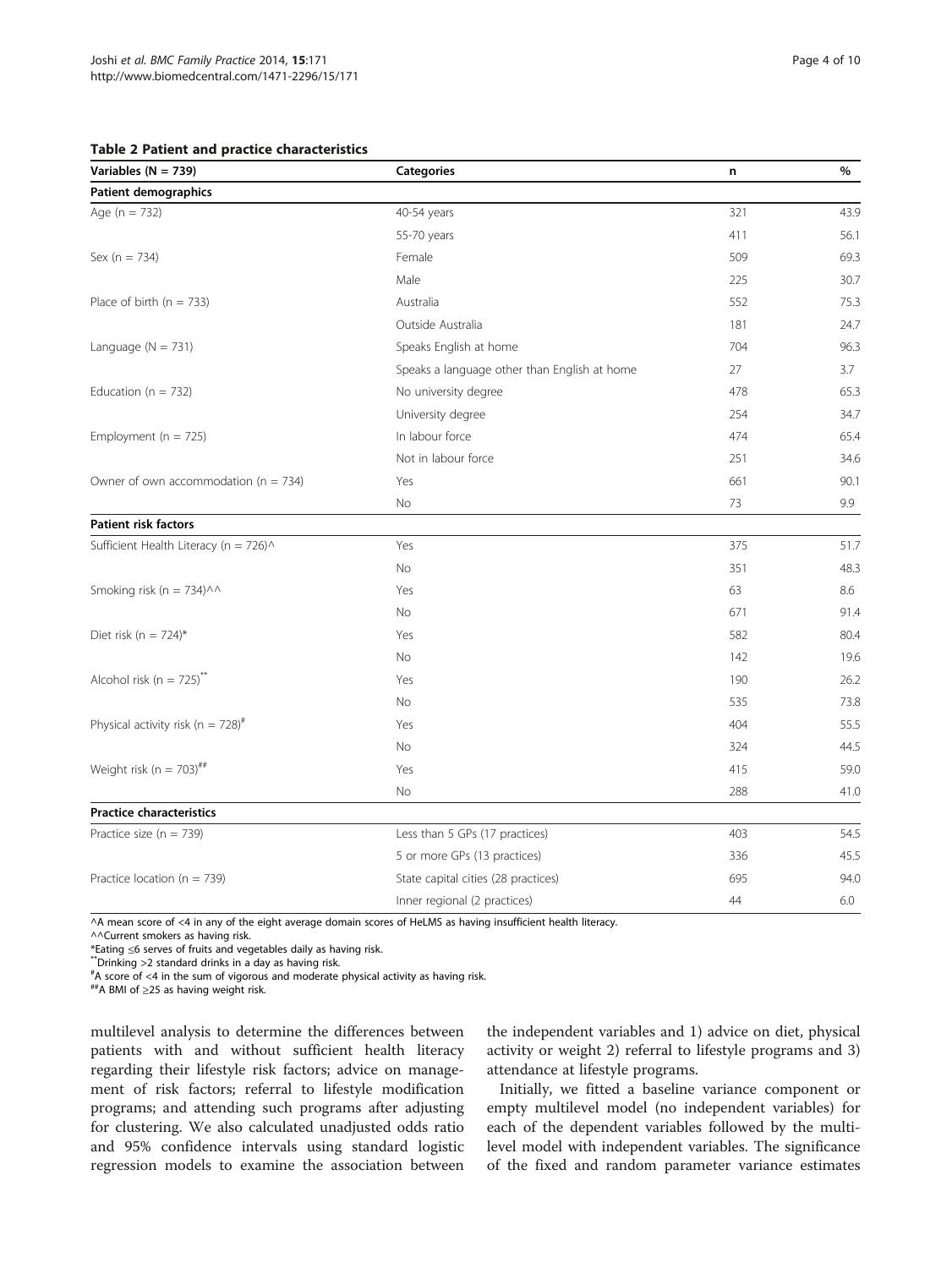<span id="page-4-0"></span>

| Variables ( $N = 739$ )                           | <b>Categories</b>                            | n   | %    |
|---------------------------------------------------|----------------------------------------------|-----|------|
| <b>Patient demographics</b>                       |                                              |     |      |
| Age ( $n = 732$ )                                 | 40-54 years                                  | 321 | 43.9 |
|                                                   | 55-70 years                                  | 411 | 56.1 |
| Sex ( $n = 734$ )                                 | Female                                       | 509 | 69.3 |
|                                                   | Male                                         | 225 | 30.7 |
| Place of birth ( $n = 733$ )                      | Australia                                    | 552 | 75.3 |
|                                                   | Outside Australia                            | 181 | 24.7 |
| Language ( $N = 731$ )                            | Speaks English at home                       | 704 | 96.3 |
|                                                   | Speaks a language other than English at home | 27  | 3.7  |
| Education ( $n = 732$ )                           | No university degree                         | 478 | 65.3 |
|                                                   | University degree                            | 254 | 34.7 |
| Employment ( $n = 725$ )                          | In labour force                              | 474 | 65.4 |
|                                                   | Not in labour force                          | 251 | 34.6 |
| Owner of own accommodation ( $n = 734$ )          | Yes                                          | 661 | 90.1 |
|                                                   | No                                           | 73  | 9.9  |
| <b>Patient risk factors</b>                       |                                              |     |      |
| Sufficient Health Literacy (n = 726)^             | Yes                                          | 375 | 51.7 |
|                                                   | No                                           | 351 | 48.3 |
| Smoking risk (n = $734$ ) $\wedge$                | Yes                                          | 63  | 8.6  |
|                                                   | No                                           | 671 | 91.4 |
| Diet risk (n = $724$ )*                           | Yes                                          | 582 | 80.4 |
|                                                   | No                                           | 142 | 19.6 |
| Alcohol risk (n = $725$ )**                       | Yes                                          | 190 | 26.2 |
|                                                   | No                                           | 535 | 73.8 |
| Physical activity risk ( $n = 728$ ) <sup>#</sup> | Yes                                          | 404 | 55.5 |
|                                                   | No                                           | 324 | 44.5 |
| Weight risk (n = $703$ ) <sup>##</sup>            | Yes                                          | 415 | 59.0 |
|                                                   | No                                           | 288 | 41.0 |
| <b>Practice characteristics</b>                   |                                              |     |      |
| Practice size ( $n = 739$ )                       | Less than 5 GPs (17 practices)               | 403 | 54.5 |
|                                                   | 5 or more GPs (13 practices)                 | 336 | 45.5 |
| Practice location ( $n = 739$ )                   | State capital cities (28 practices)          | 695 | 94.0 |
|                                                   | Inner regional (2 practices)                 | 44  | 6.0  |
|                                                   |                                              |     |      |

^A mean score of <4 in any of the eight average domain scores of HeLMS as having insufficient health literacy.

 $\wedge\wedge$ Current smokers as having risk.<br>\*Eating ≤6 serves of fruits and vegetables daily as having risk.

\*\*Drinking >2 standard drinks in a day as having risk.

# A score of <4 in the sum of vigorous and moderate physical activity as having risk.

 $^{**}$ A BMI of  $\geq$ 25 as having weight risk.

multilevel analysis to determine the differences between patients with and without sufficient health literacy regarding their lifestyle risk factors; advice on management of risk factors; referral to lifestyle modification programs; and attending such programs after adjusting for clustering. We also calculated unadjusted odds ratio and 95% confidence intervals using standard logistic regression models to examine the association between

the independent variables and 1) advice on diet, physical activity or weight 2) referral to lifestyle programs and 3) attendance at lifestyle programs.

Initially, we fitted a baseline variance component or empty multilevel model (no independent variables) for each of the dependent variables followed by the multilevel model with independent variables. The significance of the fixed and random parameter variance estimates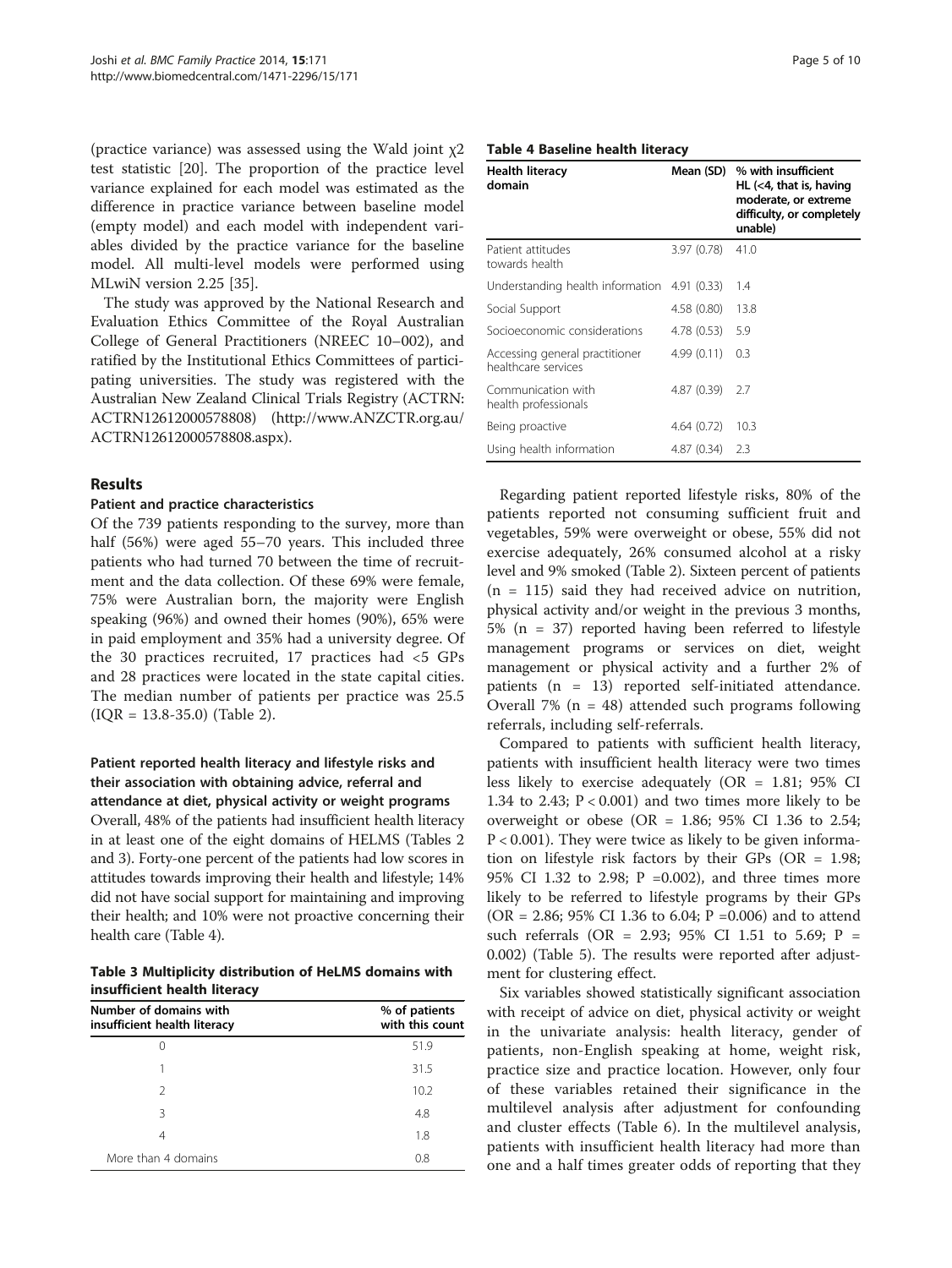(practice variance) was assessed using the Wald joint  $\chi$ 2 test statistic [[20\]](#page-9-0). The proportion of the practice level variance explained for each model was estimated as the difference in practice variance between baseline model (empty model) and each model with independent variables divided by the practice variance for the baseline model. All multi-level models were performed using MLwiN version 2.25 [\[35](#page-10-0)].

The study was approved by the National Research and Evaluation Ethics Committee of the Royal Australian College of General Practitioners (NREEC 10–002), and ratified by the Institutional Ethics Committees of participating universities. The study was registered with the Australian New Zealand Clinical Trials Registry (ACTRN: ACTRN12612000578808) ([http://www.ANZCTR.org.au/](http://www.anzctr.org.au/ACTRN12612000578808.aspx) [ACTRN12612000578808.aspx](http://www.anzctr.org.au/ACTRN12612000578808.aspx)).

## Results

## Patient and practice characteristics

Of the 739 patients responding to the survey, more than half (56%) were aged 55–70 years. This included three patients who had turned 70 between the time of recruitment and the data collection. Of these 69% were female, 75% were Australian born, the majority were English speaking (96%) and owned their homes (90%), 65% were in paid employment and 35% had a university degree. Of the 30 practices recruited, 17 practices had  $\langle$  5 GPs and 28 practices were located in the state capital cities. The median number of patients per practice was 25.5 (IQR = 13.8-35.0) (Table [2](#page-4-0)).

## Patient reported health literacy and lifestyle risks and their association with obtaining advice, referral and attendance at diet, physical activity or weight programs

Overall, 48% of the patients had insufficient health literacy in at least one of the eight domains of HELMS (Tables [2](#page-4-0) and 3). Forty-one percent of the patients had low scores in attitudes towards improving their health and lifestyle; 14% did not have social support for maintaining and improving their health; and 10% were not proactive concerning their health care (Table 4).

Table 3 Multiplicity distribution of HeLMS domains with insufficient health literacy

| Number of domains with<br>insufficient health literacy | % of patients<br>with this count |
|--------------------------------------------------------|----------------------------------|
| $\left( \right)$                                       | 51.9                             |
|                                                        | 31.5                             |
| $\mathcal{P}$                                          | 10.2 <sup>5</sup>                |
| Β                                                      | 4.8                              |
| 4                                                      | 1.8                              |
| More than 4 domains                                    | 0.8                              |

#### Table 4 Baseline health literacy

| <b>Health literacy</b><br>domain                      | Mean (SD)   | % with insufficient<br>$HL$ (<4, that is, having<br>moderate, or extreme<br>difficulty, or completely<br>unable) |
|-------------------------------------------------------|-------------|------------------------------------------------------------------------------------------------------------------|
| Patient attitudes<br>towards health                   | 3.97(0.78)  | 41.0                                                                                                             |
| Understanding health information                      | 4.91(0.33)  | 1.4                                                                                                              |
| Social Support                                        | 4.58 (0.80) | 13.8                                                                                                             |
| Socioeconomic considerations                          | 4.78 (0.53) | 5.9                                                                                                              |
| Accessing general practitioner<br>healthcare services | 4.99(0.11)  | 0.3                                                                                                              |
| Communication with<br>health professionals            | 4.87 (0.39) | 2.7                                                                                                              |
| Being proactive                                       | 4.64(0.72)  | 10.3                                                                                                             |
| Using health information                              | 4.87 (0.34) | 2.3                                                                                                              |

Regarding patient reported lifestyle risks, 80% of the patients reported not consuming sufficient fruit and vegetables, 59% were overweight or obese, 55% did not exercise adequately, 26% consumed alcohol at a risky level and 9% smoked (Table [2\)](#page-4-0). Sixteen percent of patients  $(n = 115)$  said they had received advice on nutrition, physical activity and/or weight in the previous 3 months, 5% (n = 37) reported having been referred to lifestyle management programs or services on diet, weight management or physical activity and a further 2% of patients (n = 13) reported self-initiated attendance. Overall 7% ( $n = 48$ ) attended such programs following referrals, including self-referrals.

Compared to patients with sufficient health literacy, patients with insufficient health literacy were two times less likely to exercise adequately (OR = 1.81; 95% CI 1.34 to 2.43;  $P < 0.001$ ) and two times more likely to be overweight or obese (OR =  $1.86$ ; 95% CI 1.36 to 2.54; P < 0.001). They were twice as likely to be given information on lifestyle risk factors by their GPs (OR = 1.98; 95% CI 1.32 to 2.98; P =0.002), and three times more likely to be referred to lifestyle programs by their GPs (OR = 2.86; 95% CI 1.36 to 6.04; P = 0.006) and to attend such referrals (OR = 2.93; 95% CI 1.51 to 5.69; P = 0.002) (Table [5](#page-6-0)). The results were reported after adjustment for clustering effect.

Six variables showed statistically significant association with receipt of advice on diet, physical activity or weight in the univariate analysis: health literacy, gender of patients, non-English speaking at home, weight risk, practice size and practice location. However, only four of these variables retained their significance in the multilevel analysis after adjustment for confounding and cluster effects (Table [6\)](#page-7-0). In the multilevel analysis, patients with insufficient health literacy had more than one and a half times greater odds of reporting that they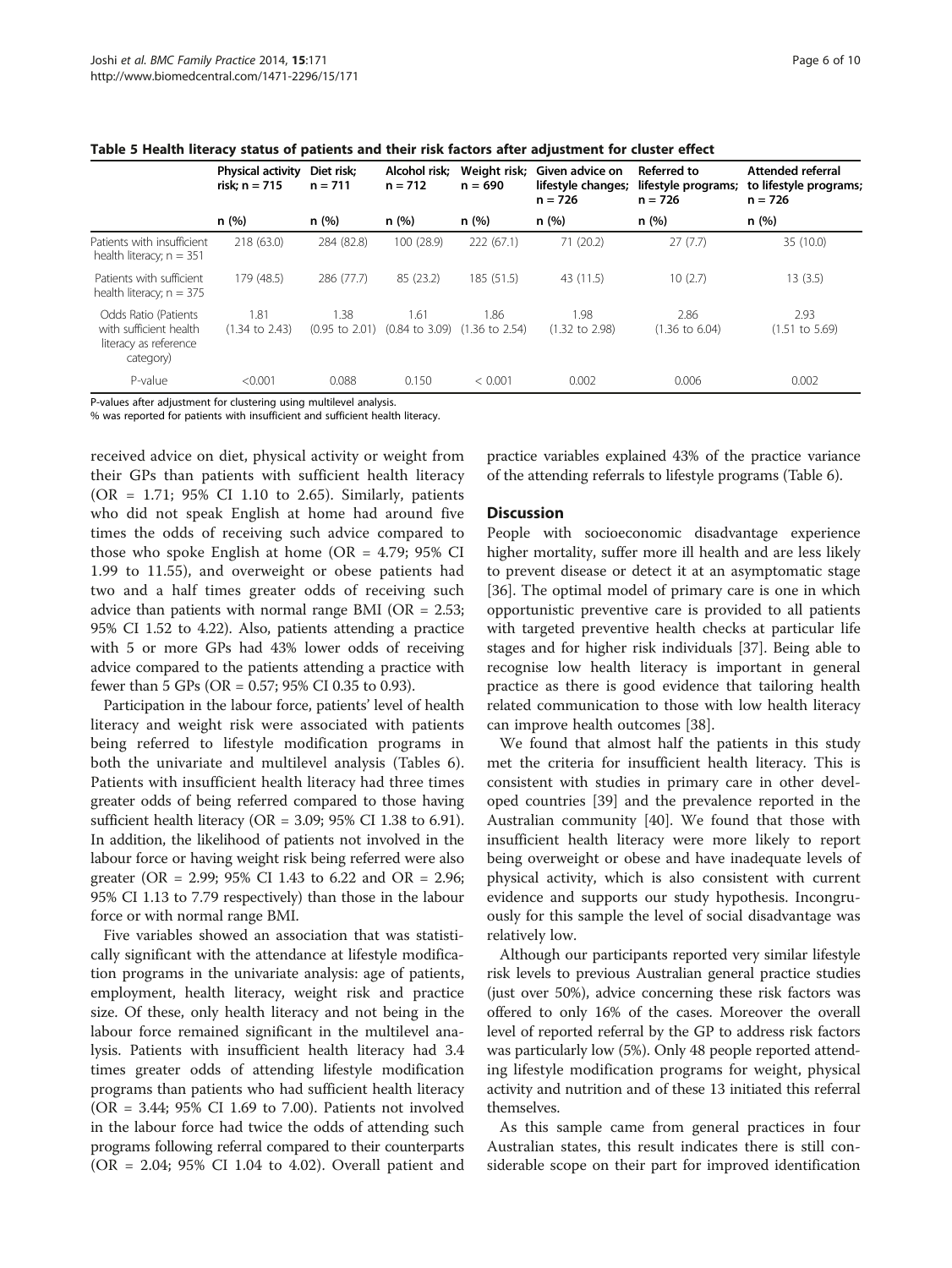|                                                                                      | <b>Physical activity</b><br>risk; $n = 715$ | Diet risk:<br>$n = 711$           | Alcohol risk:<br>$n = 712$        | Weight risk;<br>$n = 690$         | Given advice on<br>lifestyle changes;<br>$n = 726$ | <b>Referred to</b><br>lifestyle programs;<br>$n = 726$ | Attended referral<br>to lifestyle programs;<br>$n = 726$ |
|--------------------------------------------------------------------------------------|---------------------------------------------|-----------------------------------|-----------------------------------|-----------------------------------|----------------------------------------------------|--------------------------------------------------------|----------------------------------------------------------|
|                                                                                      | n(%)                                        | n(%)                              | n (%)                             | n(%)                              | n (%)                                              | n(%)                                                   | n (%)                                                    |
| Patients with insufficient<br>health literacy; $n = 351$                             | 218 (63.0)                                  | 284 (82.8)                        | 100 (28.9)                        | 222(67.1)                         | 71 (20.2)                                          | 27(7.7)                                                | 35 (10.0)                                                |
| Patients with sufficient<br>health literacy; $n = 375$                               | 179 (48.5)                                  | 286 (77.7)                        | 85 (23.2)                         | 185 (51.5)                        | 43 (11.5)                                          | 10(2.7)                                                | 13(3.5)                                                  |
| Odds Ratio (Patients<br>with sufficient health<br>literacy as reference<br>category) | 1.81<br>$(1.34 \text{ to } 2.43)$           | 1.38<br>$(0.95 \text{ to } 2.01)$ | 1.61<br>$(0.84 \text{ to } 3.09)$ | 1.86<br>$(1.36 \text{ to } 2.54)$ | 1.98<br>$(1.32 \text{ to } 2.98)$                  | 2.86<br>$(1.36 \text{ to } 6.04)$                      | 2.93<br>$(1.51 \text{ to } 5.69)$                        |
| P-value                                                                              | < 0.001                                     | 0.088                             | 0.150                             | < 0.001                           | 0.002                                              | 0.006                                                  | 0.002                                                    |

<span id="page-6-0"></span>Table 5 Health literacy status of patients and their risk factors after adjustment for cluster effect

P-values after adjustment for clustering using multilevel analysis.

% was reported for patients with insufficient and sufficient health literacy.

received advice on diet, physical activity or weight from their GPs than patients with sufficient health literacy (OR = 1.71; 95% CI 1.10 to 2.65). Similarly, patients who did not speak English at home had around five times the odds of receiving such advice compared to those who spoke English at home (OR  $=$  4.79; 95% CI 1.99 to 11.55), and overweight or obese patients had two and a half times greater odds of receiving such advice than patients with normal range BMI (OR = 2.53; 95% CI 1.52 to 4.22). Also, patients attending a practice with 5 or more GPs had 43% lower odds of receiving advice compared to the patients attending a practice with fewer than 5 GPs (OR = 0.57; 95% CI 0.35 to 0.93).

Participation in the labour force, patients' level of health literacy and weight risk were associated with patients being referred to lifestyle modification programs in both the univariate and multilevel analysis (Tables [6](#page-7-0)). Patients with insufficient health literacy had three times greater odds of being referred compared to those having sufficient health literacy (OR = 3.09; 95% CI 1.38 to 6.91). In addition, the likelihood of patients not involved in the labour force or having weight risk being referred were also greater (OR = 2.99; 95% CI 1.43 to 6.22 and OR = 2.96; 95% CI 1.13 to 7.79 respectively) than those in the labour force or with normal range BMI.

Five variables showed an association that was statistically significant with the attendance at lifestyle modification programs in the univariate analysis: age of patients, employment, health literacy, weight risk and practice size. Of these, only health literacy and not being in the labour force remained significant in the multilevel analysis. Patients with insufficient health literacy had 3.4 times greater odds of attending lifestyle modification programs than patients who had sufficient health literacy (OR = 3.44; 95% CI 1.69 to 7.00). Patients not involved in the labour force had twice the odds of attending such programs following referral compared to their counterparts (OR = 2.04; 95% CI 1.04 to 4.02). Overall patient and

practice variables explained 43% of the practice variance of the attending referrals to lifestyle programs (Table [6](#page-7-0)).

## **Discussion**

People with socioeconomic disadvantage experience higher mortality, suffer more ill health and are less likely to prevent disease or detect it at an asymptomatic stage [[36\]](#page-10-0). The optimal model of primary care is one in which opportunistic preventive care is provided to all patients with targeted preventive health checks at particular life stages and for higher risk individuals [\[37\]](#page-10-0). Being able to recognise low health literacy is important in general practice as there is good evidence that tailoring health related communication to those with low health literacy can improve health outcomes [\[38\]](#page-10-0).

We found that almost half the patients in this study met the criteria for insufficient health literacy. This is consistent with studies in primary care in other developed countries [[39\]](#page-10-0) and the prevalence reported in the Australian community [\[40](#page-10-0)]. We found that those with insufficient health literacy were more likely to report being overweight or obese and have inadequate levels of physical activity, which is also consistent with current evidence and supports our study hypothesis. Incongruously for this sample the level of social disadvantage was relatively low.

Although our participants reported very similar lifestyle risk levels to previous Australian general practice studies (just over 50%), advice concerning these risk factors was offered to only 16% of the cases. Moreover the overall level of reported referral by the GP to address risk factors was particularly low (5%). Only 48 people reported attending lifestyle modification programs for weight, physical activity and nutrition and of these 13 initiated this referral themselves.

As this sample came from general practices in four Australian states, this result indicates there is still considerable scope on their part for improved identification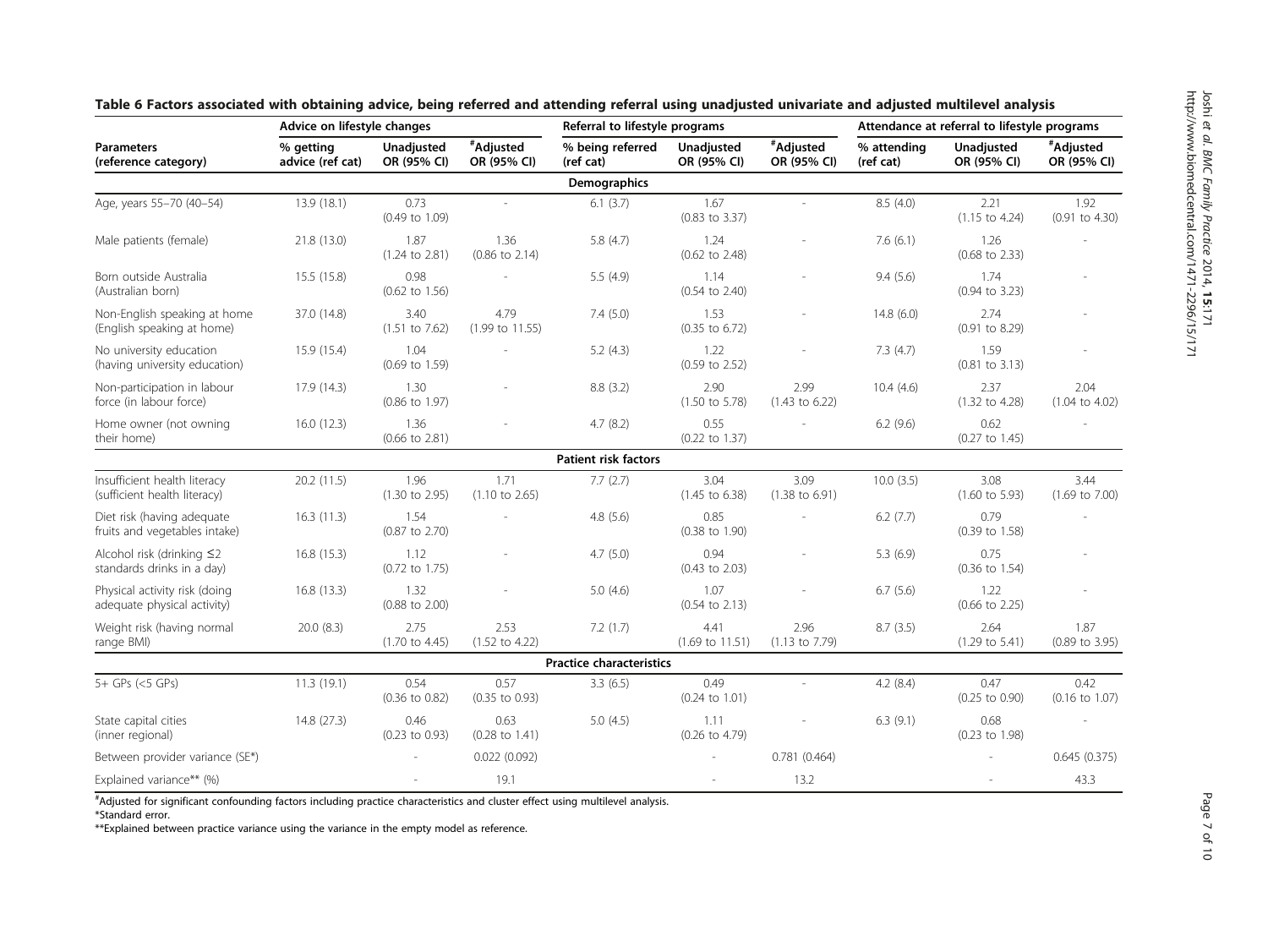|                                                              | Advice on lifestyle changes   |                                   |                                    | Referral to lifestyle programs  |                                    |                                   | Attendance at referral to lifestyle programs |                                   |                                   |
|--------------------------------------------------------------|-------------------------------|-----------------------------------|------------------------------------|---------------------------------|------------------------------------|-----------------------------------|----------------------------------------------|-----------------------------------|-----------------------------------|
| <b>Parameters</b><br>(reference category)                    | % getting<br>advice (ref cat) | <b>Unadjusted</b><br>OR (95% CI)  | #Adjusted<br>OR (95% CI)           | % being referred<br>(ref cat)   | Unadjusted<br>OR (95% CI)          | #Adjusted<br>OR (95% CI)          | % attending<br>(ref cat)                     | Unadjusted<br>OR (95% CI)         | #Adjusted<br>OR (95% CI)          |
|                                                              |                               |                                   |                                    | Demographics                    |                                    |                                   |                                              |                                   |                                   |
| Age, years 55-70 (40-54)                                     | 13.9 (18.1)                   | 0.73<br>(0.49 to 1.09)            | $\sim$                             | 6.1(3.7)                        | 1.67<br>(0.83 to 3.37)             |                                   | 8.5(4.0)                                     | 2.21<br>$(1.15 \text{ to } 4.24)$ | 1.92<br>$(0.91$ to $4.30)$        |
| Male patients (female)                                       | 21.8 (13.0)                   | 1.87<br>$(1.24 \text{ to } 2.81)$ | 1.36<br>$(0.86 \text{ to } 2.14)$  | 5.8(4.7)                        | 1.24<br>$(0.62 \text{ to } 2.48)$  |                                   | 7.6(6.1)                                     | 1.26<br>$(0.68 \text{ to } 2.33)$ |                                   |
| Born outside Australia<br>(Australian born)                  | 15.5 (15.8)                   | 0.98<br>$(0.62 \text{ to } 1.56)$ |                                    | 5.5(4.9)                        | 1.14<br>$(0.54 \text{ to } 2.40)$  |                                   | 9.4(5.6)                                     | 1.74<br>$(0.94 \text{ to } 3.23)$ |                                   |
| Non-English speaking at home<br>(English speaking at home)   | 37.0 (14.8)                   | 3.40<br>$(1.51$ to 7.62)          | 4.79<br>$(1.99 \text{ to } 11.55)$ | 7.4(5.0)                        | 1.53<br>$(0.35$ to $6.72)$         |                                   | 14.8(6.0)                                    | 2.74<br>$(0.91$ to $8.29)$        |                                   |
| No university education<br>(having university education)     | 15.9 (15.4)                   | 1.04<br>(0.69 to 1.59)            |                                    | 5.2(4.3)                        | 1.22<br>$(0.59 \text{ to } 2.52)$  |                                   | 7.3(4.7)                                     | 1.59<br>$(0.81$ to 3.13)          |                                   |
| Non-participation in labour<br>force (in labour force)       | 17.9 (14.3)                   | 1.30<br>(0.86 to 1.97)            |                                    | 8.8(3.2)                        | 2.90<br>$(1.50 \text{ to } 5.78)$  | 2.99<br>$(1.43 \text{ to } 6.22)$ | 10.4(4.6)                                    | 2.37<br>$(1.32 \text{ to } 4.28)$ | 2.04<br>$(1.04 \text{ to } 4.02)$ |
| Home owner (not owning<br>their home)                        | 16.0(12.3)                    | 1.36<br>$(0.66 \text{ to } 2.81)$ |                                    | 4.7(8.2)                        | 0.55<br>$(0.22 \text{ to } 1.37)$  |                                   | 6.2(9.6)                                     | 0.62<br>$(0.27 \text{ to } 1.45)$ |                                   |
|                                                              |                               |                                   |                                    | <b>Patient risk factors</b>     |                                    |                                   |                                              |                                   |                                   |
| Insufficient health literacy<br>(sufficient health literacy) | 20.2 (11.5)                   | 1.96<br>$(1.30 \text{ to } 2.95)$ | 1.71<br>$(1.10 \text{ to } 2.65)$  | 7.7(2.7)                        | 3.04<br>$(1.45 \text{ to } 6.38)$  | 3.09<br>$(1.38 \text{ to } 6.91)$ | 10.0(3.5)                                    | 3.08<br>$(1.60 \text{ to } 5.93)$ | 3.44<br>$(1.69 \text{ to } 7.00)$ |
| Diet risk (having adequate<br>fruits and vegetables intake)  | 16.3(11.3)                    | 1.54<br>$(0.87$ to $2.70)$        |                                    | 4.8(5.6)                        | 0.85<br>$(0.38 \text{ to } 1.90)$  |                                   | 6.2(7.7)                                     | 0.79<br>$(0.39 \text{ to } 1.58)$ |                                   |
| Alcohol risk (drinking ≤2<br>standards drinks in a day)      | 16.8 (15.3)                   | 1.12<br>(0.72 to 1.75)            |                                    | 4.7(5.0)                        | 0.94<br>$(0.43 \text{ to } 2.03)$  |                                   | 5.3(6.9)                                     | 0.75<br>$(0.36 \text{ to } 1.54)$ |                                   |
| Physical activity risk (doing<br>adequate physical activity) | 16.8(13.3)                    | 1.32<br>$(0.88 \text{ to } 2.00)$ |                                    | 5.0(4.6)                        | 1.07<br>$(0.54 \text{ to } 2.13)$  |                                   | 6.7(5.6)                                     | 1.22<br>$(0.66 \text{ to } 2.25)$ |                                   |
| Weight risk (having normal<br>range BMI)                     | 20.0(8.3)                     | 2.75<br>$(1.70 \text{ to } 4.45)$ | 2.53<br>$(1.52 \text{ to } 4.22)$  | 7.2(1.7)                        | 4.41<br>$(1.69 \text{ to } 11.51)$ | 2.96<br>$(1.13 \text{ to } 7.79)$ | 8.7(3.5)                                     | 2.64<br>$(1.29 \text{ to } 5.41)$ | 1.87<br>(0.89 to 3.95)            |
|                                                              |                               |                                   |                                    | <b>Practice characteristics</b> |                                    |                                   |                                              |                                   |                                   |
| 5+ GPs (<5 GPs)                                              | 11.3(19.1)                    | 0.54<br>$(0.36 \text{ to } 0.82)$ | 0.57<br>$(0.35$ to $0.93)$         | 3.3(6.5)                        | 0.49<br>$(0.24 \text{ to } 1.01)$  |                                   | 4.2(8.4)                                     | 0.47<br>$(0.25 \text{ to } 0.90)$ | 0.42<br>$(0.16 \text{ to } 1.07)$ |
| State capital cities<br>(inner regional)                     | 14.8 (27.3)                   | 0.46<br>(0.23 to 0.93)            | 0.63<br>$(0.28 \text{ to } 1.41)$  | 5.0(4.5)                        | 1.11<br>$(0.26 \text{ to } 4.79)$  |                                   | 6.3(9.1)                                     | 0.68<br>$(0.23 \text{ to } 1.98)$ |                                   |
| Between provider variance (SE*)                              |                               |                                   | 0.022(0.092)                       |                                 |                                    | 0.781(0.464)                      |                                              |                                   | 0.645(0.375)                      |
| Explained variance** (%)                                     |                               |                                   | 19.1                               |                                 |                                    | 13.2                              |                                              |                                   | 43.3                              |
|                                                              |                               |                                   |                                    |                                 |                                    |                                   |                                              |                                   |                                   |

<span id="page-7-0"></span>Table 6 Factors associated with obtaining advice, being referred and attending referral using unadjusted univariate and adjusted multilevel analysis

# Adjusted for significant confounding factors including practice characteristics and cluster effect using multilevel analysis. \*Standard error.

\*\*Explained between practice variance using the variance in the empty model as reference.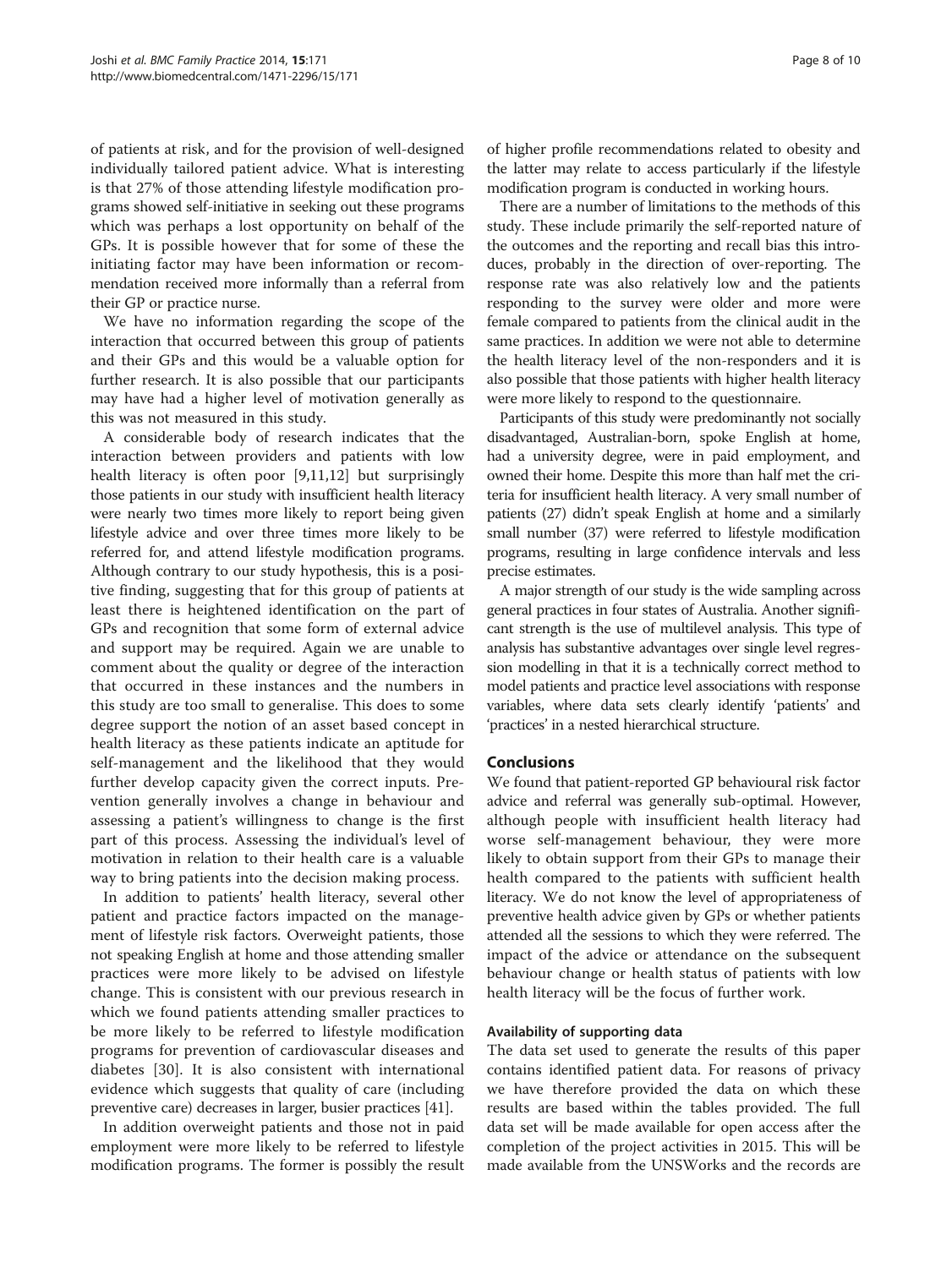of patients at risk, and for the provision of well-designed individually tailored patient advice. What is interesting is that 27% of those attending lifestyle modification programs showed self-initiative in seeking out these programs which was perhaps a lost opportunity on behalf of the GPs. It is possible however that for some of these the initiating factor may have been information or recommendation received more informally than a referral from their GP or practice nurse.

We have no information regarding the scope of the interaction that occurred between this group of patients and their GPs and this would be a valuable option for further research. It is also possible that our participants may have had a higher level of motivation generally as this was not measured in this study.

A considerable body of research indicates that the interaction between providers and patients with low health literacy is often poor [[9,11,12\]](#page-9-0) but surprisingly those patients in our study with insufficient health literacy were nearly two times more likely to report being given lifestyle advice and over three times more likely to be referred for, and attend lifestyle modification programs. Although contrary to our study hypothesis, this is a positive finding, suggesting that for this group of patients at least there is heightened identification on the part of GPs and recognition that some form of external advice and support may be required. Again we are unable to comment about the quality or degree of the interaction that occurred in these instances and the numbers in this study are too small to generalise. This does to some degree support the notion of an asset based concept in health literacy as these patients indicate an aptitude for self-management and the likelihood that they would further develop capacity given the correct inputs. Prevention generally involves a change in behaviour and assessing a patient's willingness to change is the first part of this process. Assessing the individual's level of motivation in relation to their health care is a valuable way to bring patients into the decision making process.

In addition to patients' health literacy, several other patient and practice factors impacted on the management of lifestyle risk factors. Overweight patients, those not speaking English at home and those attending smaller practices were more likely to be advised on lifestyle change. This is consistent with our previous research in which we found patients attending smaller practices to be more likely to be referred to lifestyle modification programs for prevention of cardiovascular diseases and diabetes [\[30](#page-10-0)]. It is also consistent with international evidence which suggests that quality of care (including preventive care) decreases in larger, busier practices [[41](#page-10-0)].

In addition overweight patients and those not in paid employment were more likely to be referred to lifestyle modification programs. The former is possibly the result of higher profile recommendations related to obesity and the latter may relate to access particularly if the lifestyle modification program is conducted in working hours.

There are a number of limitations to the methods of this study. These include primarily the self-reported nature of the outcomes and the reporting and recall bias this introduces, probably in the direction of over-reporting. The response rate was also relatively low and the patients responding to the survey were older and more were female compared to patients from the clinical audit in the same practices. In addition we were not able to determine the health literacy level of the non-responders and it is also possible that those patients with higher health literacy were more likely to respond to the questionnaire.

Participants of this study were predominantly not socially disadvantaged, Australian-born, spoke English at home, had a university degree, were in paid employment, and owned their home. Despite this more than half met the criteria for insufficient health literacy. A very small number of patients (27) didn't speak English at home and a similarly small number (37) were referred to lifestyle modification programs, resulting in large confidence intervals and less precise estimates.

A major strength of our study is the wide sampling across general practices in four states of Australia. Another significant strength is the use of multilevel analysis. This type of analysis has substantive advantages over single level regression modelling in that it is a technically correct method to model patients and practice level associations with response variables, where data sets clearly identify 'patients' and 'practices' in a nested hierarchical structure.

## Conclusions

We found that patient-reported GP behavioural risk factor advice and referral was generally sub-optimal. However, although people with insufficient health literacy had worse self-management behaviour, they were more likely to obtain support from their GPs to manage their health compared to the patients with sufficient health literacy. We do not know the level of appropriateness of preventive health advice given by GPs or whether patients attended all the sessions to which they were referred. The impact of the advice or attendance on the subsequent behaviour change or health status of patients with low health literacy will be the focus of further work.

## Availability of supporting data

The data set used to generate the results of this paper contains identified patient data. For reasons of privacy we have therefore provided the data on which these results are based within the tables provided. The full data set will be made available for open access after the completion of the project activities in 2015. This will be made available from the UNSWorks and the records are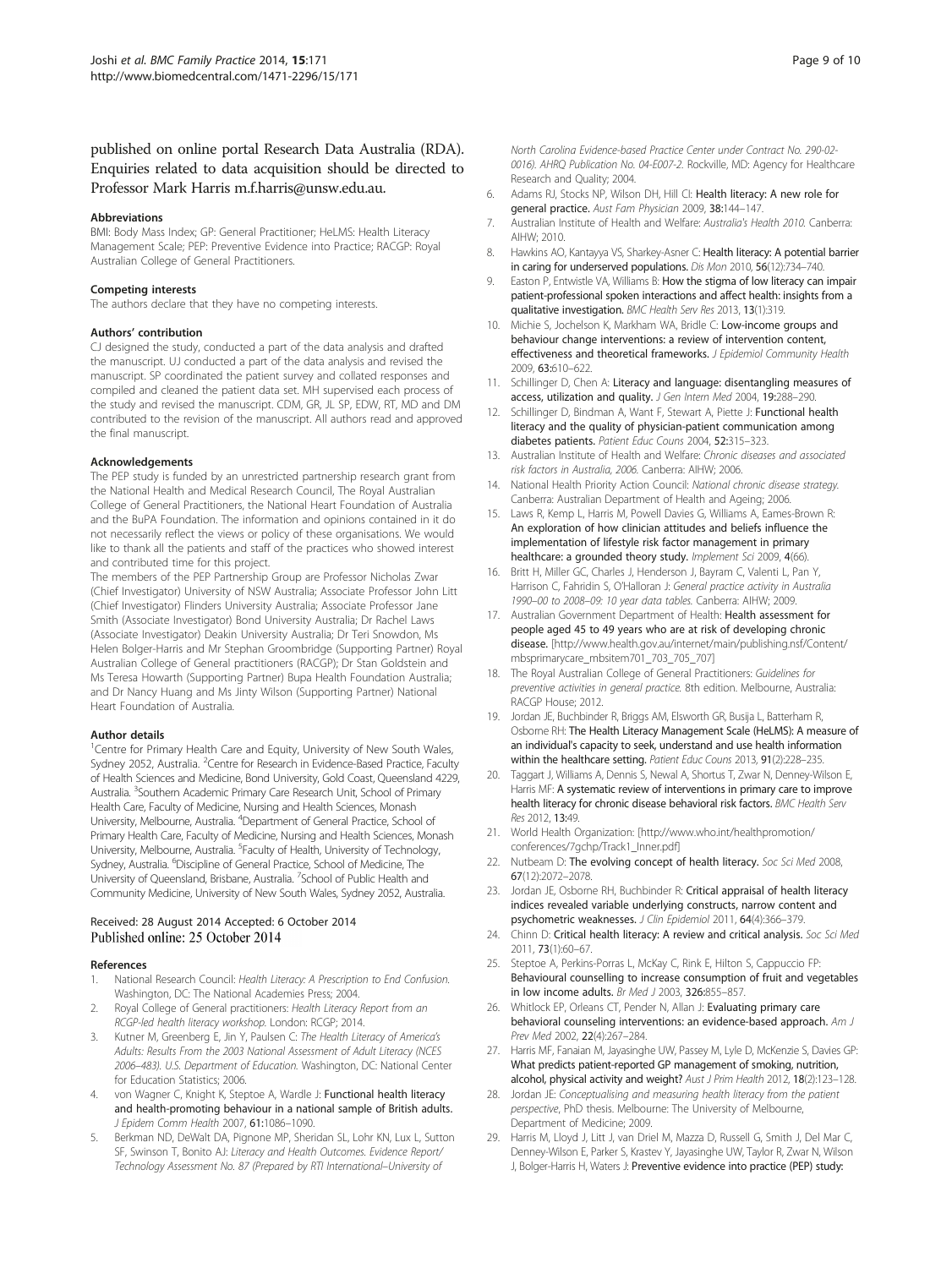## <span id="page-9-0"></span>published on online portal Research Data Australia (RDA). Enquiries related to data acquisition should be directed to Professor Mark Harris m.f.harris@unsw.edu.au.

#### Abbreviations

BMI: Body Mass Index; GP: General Practitioner; HeLMS: Health Literacy Management Scale; PEP: Preventive Evidence into Practice; RACGP: Royal Australian College of General Practitioners.

#### Competing interests

The authors declare that they have no competing interests.

#### Authors' contribution

CJ designed the study, conducted a part of the data analysis and drafted the manuscript. UJ conducted a part of the data analysis and revised the manuscript. SP coordinated the patient survey and collated responses and compiled and cleaned the patient data set. MH supervised each process of the study and revised the manuscript. CDM, GR, JL SP, EDW, RT, MD and DM contributed to the revision of the manuscript. All authors read and approved the final manuscript.

#### Acknowledgements

The PEP study is funded by an unrestricted partnership research grant from the National Health and Medical Research Council, The Royal Australian College of General Practitioners, the National Heart Foundation of Australia and the BuPA Foundation. The information and opinions contained in it do not necessarily reflect the views or policy of these organisations. We would like to thank all the patients and staff of the practices who showed interest and contributed time for this project.

The members of the PEP Partnership Group are Professor Nicholas Zwar (Chief Investigator) University of NSW Australia; Associate Professor John Litt (Chief Investigator) Flinders University Australia; Associate Professor Jane Smith (Associate Investigator) Bond University Australia; Dr Rachel Laws (Associate Investigator) Deakin University Australia; Dr Teri Snowdon, Ms Helen Bolger-Harris and Mr Stephan Groombridge (Supporting Partner) Royal Australian College of General practitioners (RACGP); Dr Stan Goldstein and Ms Teresa Howarth (Supporting Partner) Bupa Health Foundation Australia; and Dr Nancy Huang and Ms Jinty Wilson (Supporting Partner) National Heart Foundation of Australia.

#### Author details

<sup>1</sup> Centre for Primary Health Care and Equity, University of New South Wales, Sydney 2052, Australia. <sup>2</sup>Centre for Research in Evidence-Based Practice, Faculty of Health Sciences and Medicine, Bond University, Gold Coast, Queensland 4229, Australia. <sup>3</sup>Southern Academic Primary Care Research Unit, School of Primary Health Care, Faculty of Medicine, Nursing and Health Sciences, Monash University, Melbourne, Australia. <sup>4</sup>Department of General Practice, School of Primary Health Care, Faculty of Medicine, Nursing and Health Sciences, Monash University, Melbourne, Australia. <sup>5</sup>Faculty of Health, University of Technology, Sydney, Australia. <sup>6</sup>Discipline of General Practice, School of Medicine, The University of Queensland, Brisbane, Australia. <sup>7</sup>School of Public Health and Community Medicine, University of New South Wales, Sydney 2052, Australia.

## Received: 28 August 2014 Accepted: 6 October 2014 Published online: 25 October 2014

#### References

- 1. National Research Council: Health Literacy: A Prescription to End Confusion. Washington, DC: The National Academies Press; 2004.
- 2. Royal College of General practitioners: Health Literacy Report from an RCGP-led health literacy workshop. London: RCGP; 2014.
- 3. Kutner M, Greenberg E, Jin Y, Paulsen C: The Health Literacy of America's Adults: Results From the 2003 National Assessment of Adult Literacy (NCES 2006–483). U.S. Department of Education. Washington, DC: National Center for Education Statistics; 2006.
- von Wagner C, Knight K, Steptoe A, Wardle J: Functional health literacy and health-promoting behaviour in a national sample of British adults. J Epidem Comm Health 2007, 61:1086–1090.
- 5. Berkman ND, DeWalt DA, Pignone MP, Sheridan SL, Lohr KN, Lux L, Sutton SF, Swinson T, Bonito AJ: Literacy and Health Outcomes. Evidence Report/ Technology Assessment No. 87 (Prepared by RTI International–University of
- Adams RJ, Stocks NP, Wilson DH, Hill CI: Health literacy: A new role for general practice. Aust Fam Physician 2009, 38:144–147.
- 7. Australian Institute of Health and Welfare: Australia's Health 2010. Canberra: AIHW; 2010.
- 8. Hawkins AO, Kantayya VS, Sharkey-Asner C: Health literacy: A potential barrier in caring for underserved populations. Dis Mon 2010, 56(12):734–740.
- 9. Easton P, Entwistle VA, Williams B: How the stigma of low literacy can impair patient-professional spoken interactions and affect health: insights from a qualitative investigation. BMC Health Serv Res 2013, 13(1):319.
- 10. Michie S, Jochelson K, Markham WA, Bridle C: Low-income groups and behaviour change interventions: a review of intervention content, effectiveness and theoretical frameworks. J Epidemiol Community Health 2009, 63:610–622.
- 11. Schillinger D, Chen A: Literacy and language: disentangling measures of access, utilization and quality. J Gen Intern Med 2004, 19:288-290.
- 12. Schillinger D, Bindman A, Want F, Stewart A, Piette J: Functional health literacy and the quality of physician-patient communication among diabetes patients. Patient Educ Couns 2004, 52:315–323.
- 13. Australian Institute of Health and Welfare: Chronic diseases and associated risk factors in Australia, 2006. Canberra: AIHW; 2006.
- 14. National Health Priority Action Council: National chronic disease strategy. Canberra: Australian Department of Health and Ageing; 2006.
- 15. Laws R, Kemp L, Harris M, Powell Davies G, Williams A, Eames-Brown R: An exploration of how clinician attitudes and beliefs influence the implementation of lifestyle risk factor management in primary healthcare: a grounded theory study. Implement Sci 2009, 4(66).
- 16. Britt H, Miller GC, Charles J, Henderson J, Bayram C, Valenti L, Pan Y, Harrison C, Fahridin S, O'Halloran J: General practice activity in Australia 1990–00 to 2008–09: 10 year data tables. Canberra: AIHW; 2009.
- 17. Australian Government Department of Health: Health assessment for people aged 45 to 49 years who are at risk of developing chronic disease. [[http://www.health.gov.au/internet/main/publishing.nsf/Content/](http://www.health.gov.au/internet/main/publishing.nsf/Content/mbsprimarycare_mbsitem701_703_705_707) [mbsprimarycare\\_mbsitem701\\_703\\_705\\_707\]](http://www.health.gov.au/internet/main/publishing.nsf/Content/mbsprimarycare_mbsitem701_703_705_707)
- 18. The Royal Australian College of General Practitioners: Guidelines for preventive activities in general practice. 8th edition. Melbourne, Australia: RACGP House; 2012.
- 19. Jordan JE, Buchbinder R, Briggs AM, Elsworth GR, Busija L, Batterham R, Osborne RH: The Health Literacy Management Scale (HeLMS): A measure of an individual's capacity to seek, understand and use health information within the healthcare setting. Patient Educ Couns 2013, 91(2):228-235.
- 20. Taggart J, Williams A, Dennis S, Newal A, Shortus T, Zwar N, Denney-Wilson E, Harris MF: A systematic review of interventions in primary care to improve health literacy for chronic disease behavioral risk factors. BMC Health Serv Res 2012, 13:49.
- 21. World Health Organization: [[http://www.who.int/healthpromotion/](http://www.who.int/healthpromotion/conferences/7gchp/Track1_Inner.pdf) [conferences/7gchp/Track1\\_Inner.pdf\]](http://www.who.int/healthpromotion/conferences/7gchp/Track1_Inner.pdf)
- 22. Nutbeam D: The evolving concept of health literacy. Soc Sci Med 2008, 67(12):2072–2078.
- 23. Jordan JE, Osborne RH, Buchbinder R: Critical appraisal of health literacy indices revealed variable underlying constructs, narrow content and psychometric weaknesses. J Clin Epidemiol 2011, 64(4):366–379.
- 24. Chinn D: Critical health literacy: A review and critical analysis. Soc Sci Med 2011, 73(1):60–67.
- 25. Steptoe A, Perkins-Porras L, McKay C, Rink E, Hilton S, Cappuccio FP: Behavioural counselling to increase consumption of fruit and vegetables in low income adults. Br Med J 2003, 326:855–857.
- 26. Whitlock EP, Orleans CT, Pender N, Allan J: Evaluating primary care behavioral counseling interventions: an evidence-based approach. Am J Prev Med 2002, 22(4):267–284.
- 27. Harris MF, Fanaian M, Jayasinghe UW, Passey M, Lyle D, McKenzie S, Davies GP: What predicts patient-reported GP management of smoking, nutrition, alcohol, physical activity and weight? Aust J Prim Health 2012, 18(2):123-128.
- 28. Jordan JE: Conceptualising and measuring health literacy from the patient perspective, PhD thesis. Melbourne: The University of Melbourne, Department of Medicine; 2009.
- 29. Harris M, Lloyd J, Litt J, van Driel M, Mazza D, Russell G, Smith J, Del Mar C, Denney-Wilson E, Parker S, Krastev Y, Jayasinghe UW, Taylor R, Zwar N, Wilson J, Bolger-Harris H, Waters J: Preventive evidence into practice (PEP) study: